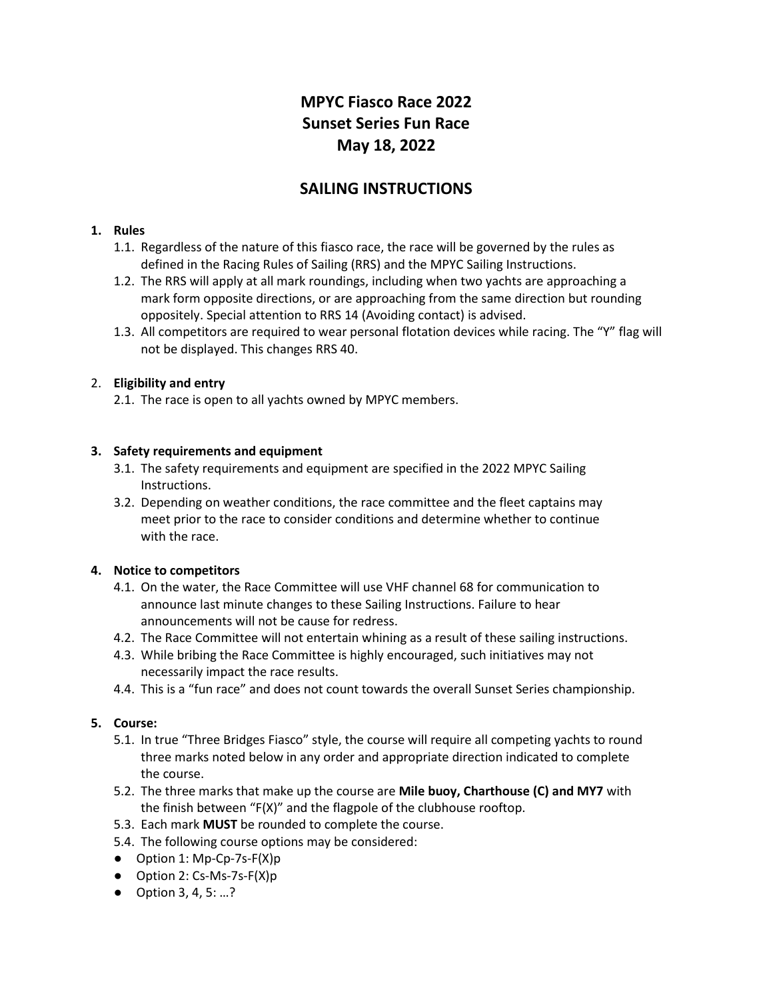# **MPYC Fiasco Race 2022 Sunset Series Fun Race May 18, 2022**

# **SAILING INSTRUCTIONS**

#### **1. Rules**

- 1.1. Regardless of the nature of this fiasco race, the race will be governed by the rules as defined in the Racing Rules of Sailing (RRS) and the MPYC Sailing Instructions.
- 1.2. The RRS will apply at all mark roundings, including when two yachts are approaching a mark form opposite directions, or are approaching from the same direction but rounding oppositely. Special attention to RRS 14 (Avoiding contact) is advised.
- 1.3. All competitors are required to wear personal flotation devices while racing. The "Y" flag will not be displayed. This changes RRS 40.

# 2. **Eligibility and entry**

2.1. The race is open to all yachts owned by MPYC members.

#### **3. Safety requirements and equipment**

- 3.1. The safety requirements and equipment are specified in the 2022 MPYC Sailing Instructions.
- 3.2. Depending on weather conditions, the race committee and the fleet captains may meet prior to the race to consider conditions and determine whether to continue with the race.

#### **4. Notice to competitors**

- 4.1. On the water, the Race Committee will use VHF channel 68 for communication to announce last minute changes to these Sailing Instructions. Failure to hear announcements will not be cause for redress.
- 4.2. The Race Committee will not entertain whining as a result of these sailing instructions.
- 4.3. While bribing the Race Committee is highly encouraged, such initiatives may not necessarily impact the race results.
- 4.4. This is a "fun race" and does not count towards the overall Sunset Series championship.

#### **5. Course:**

- 5.1. In true "Three Bridges Fiasco" style, the course will require all competing yachts to round three marks noted below in any order and appropriate direction indicated to complete the course.
- 5.2. The three marks that make up the course are **Mile buoy, Charthouse (C) and MY7** with the finish between "F(X)" and the flagpole of the clubhouse rooftop.
- 5.3. Each mark **MUST** be rounded to complete the course.
- 5.4. The following course options may be considered:
- Option 1: Mp-Cp-7s-F(X)p
- Option 2: Cs-Ms-7s-F(X)p
- Option 3, 4, 5: ...?